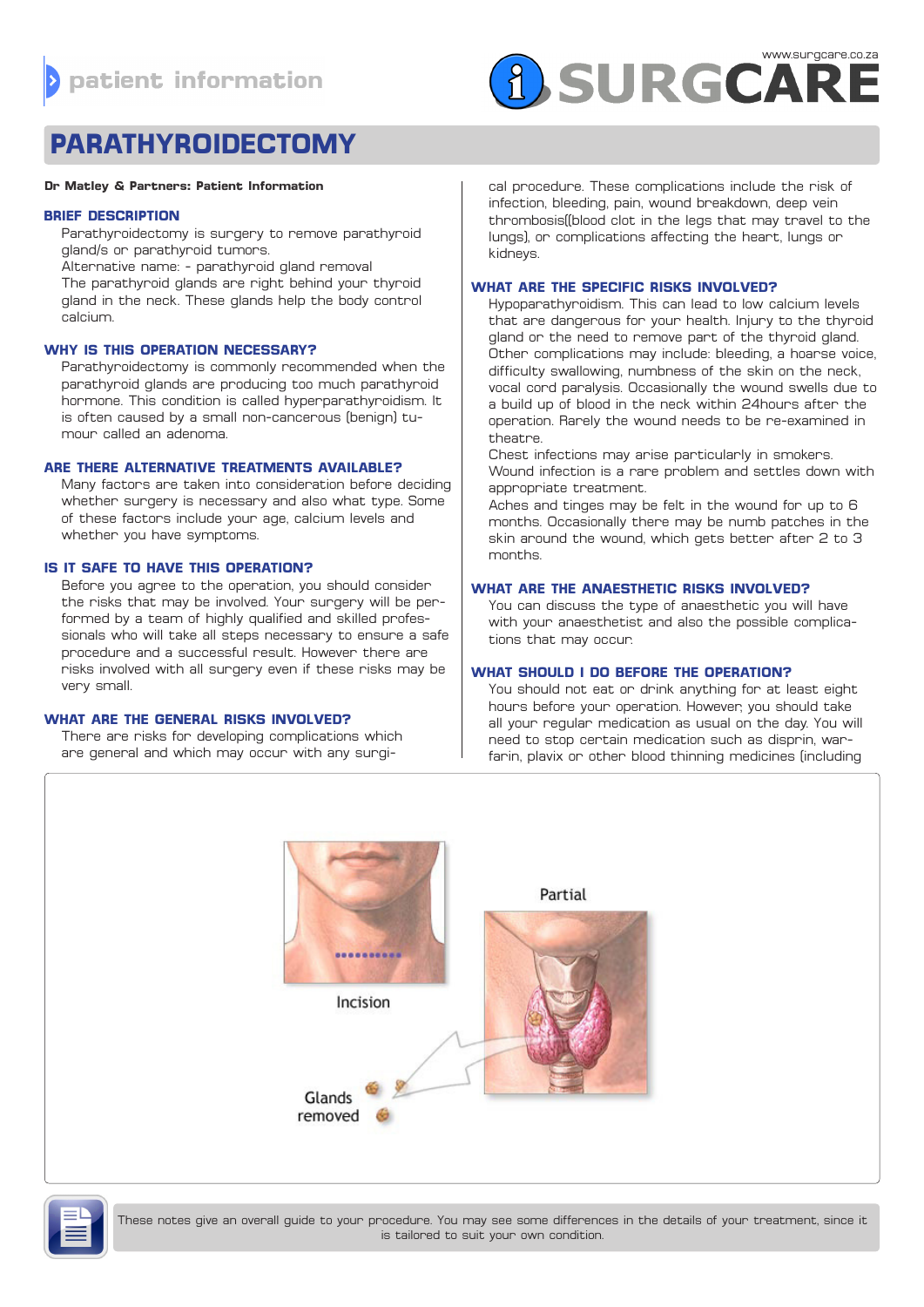

# **PARATHYROIDECTOMY**

#### **Dr Matley & Partners: Patient Information**

## **BRIEF DESCRIPTION**

Parathyroidectomy is surgery to remove parathyroid gland/s or parathyroid tumors. Alternative name: - parathyroid gland removal

The parathyroid glands are right behind your thyroid gland in the neck. These glands help the body control calcium.

# **WHY IS THIS OPERATION NECESSARY?**

Parathyroidectomy is commonly recommended when the parathyroid glands are producing too much parathyroid hormone. This condition is called hyperparathyroidism. It is often caused by a small non-cancerous (benign) tumour called an adenoma.

# **ARE THERE ALTERNATIVE TREATMENTS AVAILABLE?**

Many factors are taken into consideration before deciding whether surgery is necessary and also what type. Some of these factors include your age, calcium levels and whether you have symptoms.

## **IS IT SAFE TO HAVE THIS OPERATION?**

Before you agree to the operation, you should consider the risks that may be involved. Your surgery will be performed by a team of highly qualified and skilled professionals who will take all steps necessary to ensure a safe procedure and a successful result. However there are risks involved with all surgery even if these risks may be very small.

#### **WHAT ARE THE GENERAL RISKS INVOLVED?**

There are risks for developing complications which are general and which may occur with any surgi-

cal procedure. These complications include the risk of infection, bleeding, pain, wound breakdown, deep vein thrombosis((blood clot in the legs that may travel to the lungs), or complications affecting the heart, lungs or kidneys.

# **WHAT ARE THE SPECIFIC RISKS INVOLVED?**

Hypoparathyroidism. This can lead to low calcium levels that are dangerous for your health. Injury to the thyroid gland or the need to remove part of the thyroid gland. Other complications may include: bleeding, a hoarse voice, difficulty swallowing, numbness of the skin on the neck, vocal cord paralysis. Occasionally the wound swells due to a build up of blood in the neck within 24hours after the operation. Rarely the wound needs to be re-examined in theatre.

Chest infections may arise particularly in smokers. Wound infection is a rare problem and settles down with appropriate treatment.

Aches and tinges may be felt in the wound for up to 6 months. Occasionally there may be numb patches in the skin around the wound, which gets better after 2 to 3 months.

# **WHAT ARE THE ANAESTHETIC RISKS INVOLVED?**

You can discuss the type of anaesthetic you will have with your anaesthetist and also the possible complications that may occur.

# **WHAT SHOULD I DO BEFORE THE OPERATION?**

You should not eat or drink anything for at least eight hours before your operation. However, you should take all your regular medication as usual on the day. You will need to stop certain medication such as disprin, warfarin, plavix or other blood thinning medicines (including





These notes give an overall guide to your procedure. You may see some differences in the details of your treatment, since it is tailored to suit your own condition.